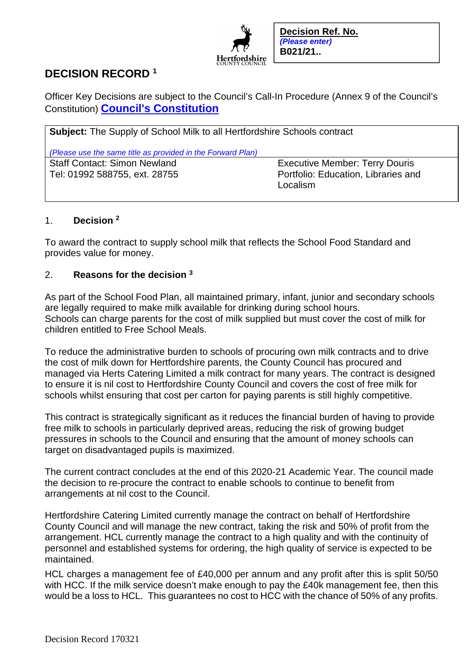

**Decision Ref. No.**  *(Please enter)*  **B021/21..** 

# **DECISION RECORD <sup>1</sup>**

Officer Key Decisions are subject to the Council's Call-In Procedure (Annex 9 of the Council's Constitution) **Council's Constitution**

| <b>Subject:</b> The Supply of School Milk to all Hertfordshire Schools contract |                                                 |
|---------------------------------------------------------------------------------|-------------------------------------------------|
| (Please use the same title as provided in the Forward Plan)                     |                                                 |
| <b>Staff Contact: Simon Newland</b>                                             | <b>Executive Member: Terry Douris</b>           |
| Tel: 01992 588755, ext. 28755                                                   | Portfolio: Education, Libraries and<br>Localism |

## 1. **Decision <sup>2</sup>**

To award the contract to supply school milk that reflects the School Food Standard and provides value for money.

## 2. **Reasons for the decision <sup>3</sup>**

As part of the School Food Plan, all maintained primary, infant, junior and secondary schools are legally required to make milk available for drinking during school hours. Schools can charge parents for the cost of milk supplied but must cover the cost of milk for children entitled to Free School Meals.

To reduce the administrative burden to schools of procuring own milk contracts and to drive the cost of milk down for Hertfordshire parents, the County Council has procured and managed via Herts Catering Limited a milk contract for many years. The contract is designed to ensure it is nil cost to Hertfordshire County Council and covers the cost of free milk for schools whilst ensuring that cost per carton for paying parents is still highly competitive.

This contract is strategically significant as it reduces the financial burden of having to provide free milk to schools in particularly deprived areas, reducing the risk of growing budget pressures in schools to the Council and ensuring that the amount of money schools can target on disadvantaged pupils is maximized.

The current contract concludes at the end of this 2020-21 Academic Year. The council made the decision to re-procure the contract to enable schools to continue to benefit from arrangements at nil cost to the Council.

Hertfordshire Catering Limited currently manage the contract on behalf of Hertfordshire County Council and will manage the new contract, taking the risk and 50% of profit from the arrangement. HCL currently manage the contract to a high quality and with the continuity of personnel and established systems for ordering, the high quality of service is expected to be maintained.

HCL charges a management fee of £40,000 per annum and any profit after this is split 50/50 with HCC. If the milk service doesn't make enough to pay the £40k management fee, then this would be a loss to HCL. This guarantees no cost to HCC with the chance of 50% of any profits.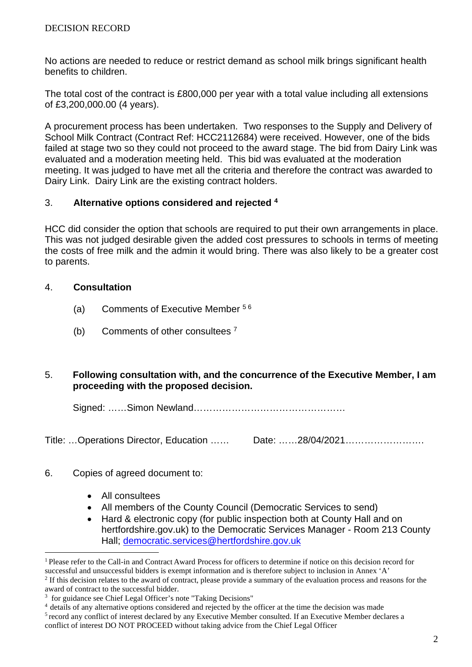No actions are needed to reduce or restrict demand as school milk brings significant health benefits to children.

The total cost of the contract is £800,000 per year with a total value including all extensions of £3,200,000.00 (4 years).

A procurement process has been undertaken. Two responses to the Supply and Delivery of School Milk Contract (Contract Ref: HCC2112684) were received. However, one of the bids failed at stage two so they could not proceed to the award stage. The bid from Dairy Link was evaluated and a moderation meeting held. This bid was evaluated at the moderation meeting. It was judged to have met all the criteria and therefore the contract was awarded to Dairy Link. Dairy Link are the existing contract holders.

## 3. **Alternative options considered and rejected <sup>4</sup>**

HCC did consider the option that schools are required to put their own arrangements in place. This was not judged desirable given the added cost pressures to schools in terms of meeting the costs of free milk and the admin it would bring. There was also likely to be a greater cost to parents.

#### 4. **Consultation**

- (a) Comments of Executive Member 5 6
- (b) Comments of other consultees <sup>7</sup>

#### 5. **Following consultation with, and the concurrence of the Executive Member, I am proceeding with the proposed decision.**

Signed: ……Simon Newland…………………………………………

Title: …Operations Director, Education …… Date: ……28/04/2021…………………….

## 6. Copies of agreed document to:

- All consultees
- All members of the County Council (Democratic Services to send)
- Hard & electronic copy (for public inspection both at County Hall and on hertfordshire.gov.uk) to the Democratic Services Manager - Room 213 County Hall; democratic.services@hertfordshire.gov.uk

<sup>&</sup>lt;sup>1</sup> Please refer to the Call-in and Contract Award Process for officers to determine if notice on this decision record for

successful and unsuccessful bidders is exempt information and is therefore subject to inclusion in Annex 'A' <sup>2</sup> If this decision relates to the award of contract, please provide a summary of the evaluation process and reasons for the

award of contract to the successful bidder.

<sup>&</sup>lt;sup>3</sup> for guidance see Chief Legal Officer's note "Taking Decisions"

<sup>&</sup>lt;sup>4</sup> details of any alternative options considered and rejected by the officer at the time the decision was made

<sup>5</sup>record any conflict of interest declared by any Executive Member consulted. If an Executive Member declares a conflict of interest DO NOT PROCEED without taking advice from the Chief Legal Officer